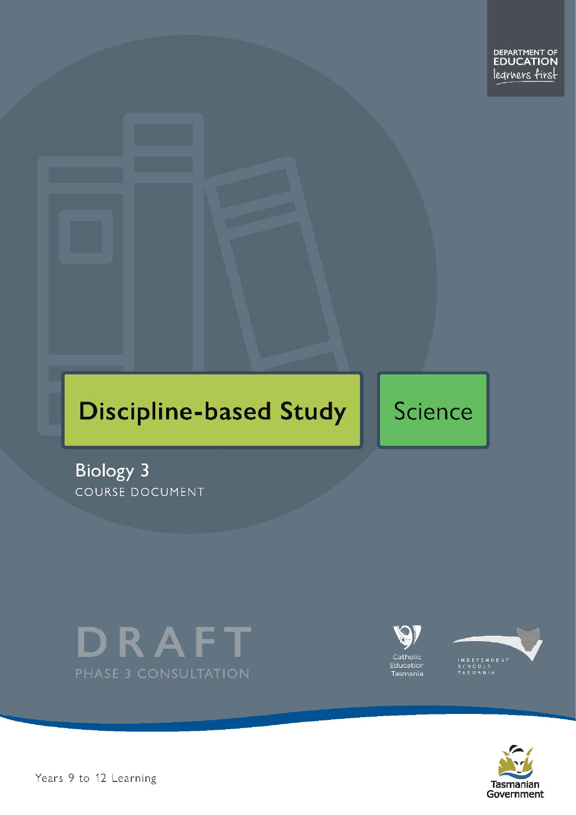# **Discipline-based Study**

# Science

**Biology 3** COURSE DOCUMENT







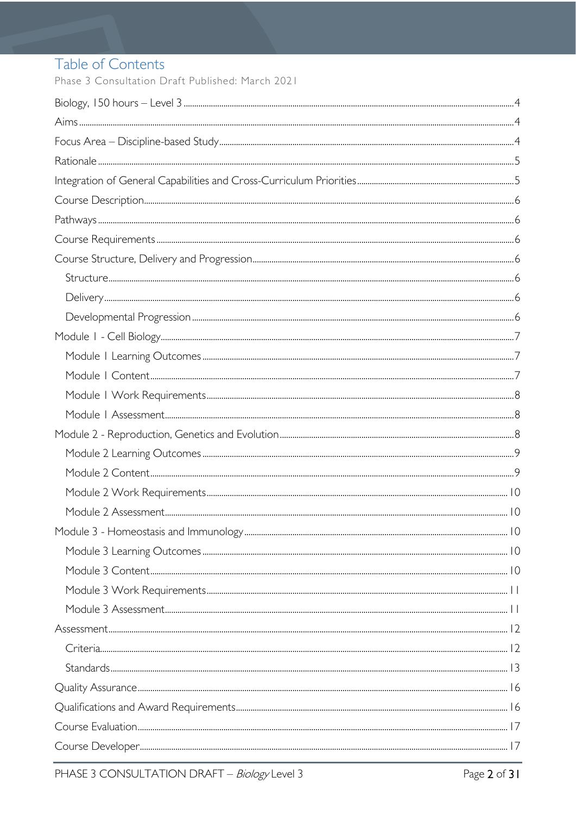# Table of Contents

Phase 3 Consultation Draft Published: March 2021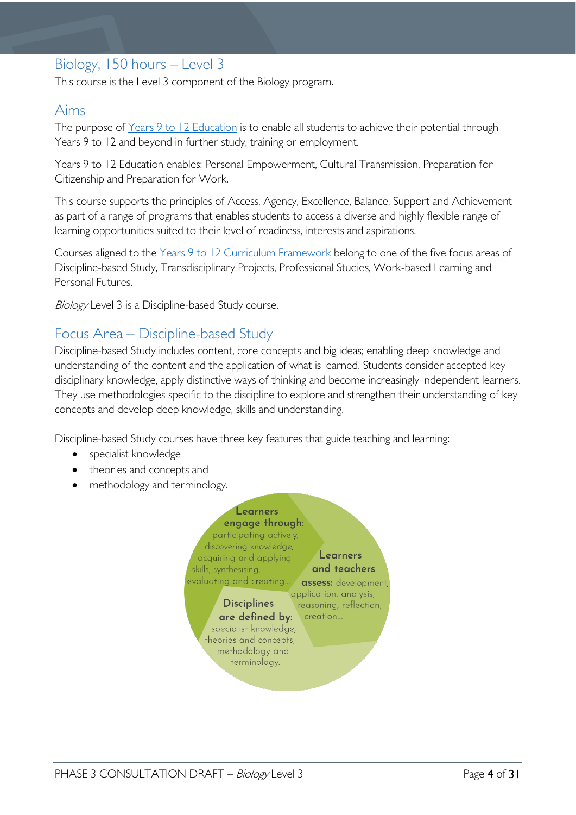# <span id="page-3-0"></span>Biology, 150 hours – Level 3

This course is the Level 3 component of the Biology program.

# <span id="page-3-1"></span>Aims

The purpose of Years 9 to 12 [Education](https://publicdocumentcentre.education.tas.gov.au/library/Shared%20Documents/Years-9-to-12-Education-Framework.pdf) is to enable all students to achieve their potential through Years 9 to 12 and beyond in further study, training or employment.

Years 9 to 12 Education enables: Personal Empowerment, Cultural Transmission, Preparation for Citizenship and Preparation for Work.

This course supports the principles of Access, Agency, Excellence, Balance, Support and Achievement as part of a range of programs that enables students to access a diverse and highly flexible range of learning opportunities suited to their level of readiness, interests and aspirations.

Courses aligned to the Years 9 to 12 Curriculum [Framework](https://publicdocumentcentre.education.tas.gov.au/library/Shared%20Documents/Education%209-12%20Frameworks%20A3%20WEB%20POSTER.pdf) belong to one of the five focus areas of Discipline-based Study, Transdisciplinary Projects, Professional Studies, Work-based Learning and Personal Futures.

Biology Level 3 is a Discipline-based Study course.

# <span id="page-3-2"></span>Focus Area – Discipline-based Study

Discipline-based Study includes content, core concepts and big ideas; enabling deep knowledge and understanding of the content and the application of what is learned. Students consider accepted key disciplinary knowledge, apply distinctive ways of thinking and become increasingly independent learners. They use methodologies specific to the discipline to explore and strengthen their understanding of key concepts and develop deep knowledge, skills and understanding.

Discipline-based Study courses have three key features that guide teaching and learning:

- specialist knowledge
- theories and concepts and
- methodology and terminology.

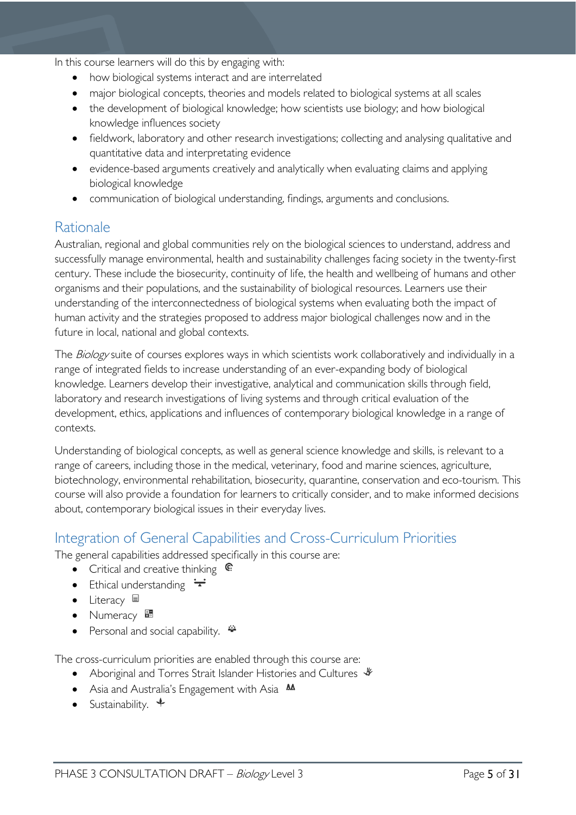In this course learners will do this by engaging with:

- how biological systems interact and are interrelated
- major biological concepts, theories and models related to biological systems at all scales
- the development of biological knowledge; how scientists use biology; and how biological knowledge influences society
- fieldwork, laboratory and other research investigations; collecting and analysing qualitative and quantitative data and interpretating evidence
- evidence-based arguments creatively and analytically when evaluating claims and applying biological knowledge
- communication of biological understanding, findings, arguments and conclusions.

# <span id="page-4-0"></span>Rationale

Australian, regional and global communities rely on the biological sciences to understand, address and successfully manage environmental, health and sustainability challenges facing society in the twenty-first century. These include the biosecurity, continuity of life, the health and wellbeing of humans and other organisms and their populations, and the sustainability of biological resources. Learners use their understanding of the interconnectedness of biological systems when evaluating both the impact of human activity and the strategies proposed to address major biological challenges now and in the future in local, national and global contexts.

The Biology suite of courses explores ways in which scientists work collaboratively and individually in a range of integrated fields to increase understanding of an ever-expanding body of biological knowledge. Learners develop their investigative, analytical and communication skills through field, laboratory and research investigations of living systems and through critical evaluation of the development, ethics, applications and influences of contemporary biological knowledge in a range of contexts.

Understanding of biological concepts, as well as general science knowledge and skills, is relevant to a range of careers, including those in the medical, veterinary, food and marine sciences, agriculture, biotechnology, environmental rehabilitation, biosecurity, quarantine, conservation and eco-tourism. This course will also provide a foundation for learners to critically consider, and to make informed decisions about, contemporary biological issues in their everyday lives.

# <span id="page-4-1"></span>Integration of General Capabilities and Cross-Curriculum Priorities

The general capabilities addressed specifically in this course are:

- Critical and creative thinking  $\mathbb{C}$
- Ethical understanding  $\div$
- Literacy  $\blacksquare$
- Numeracy  $\frac{1}{2}$
- Personal and social capability.

The cross-curriculum priorities are enabled through this course are:

- Aboriginal and Torres Strait Islander Histories and Cultures  $\mathscr W$
- Asia and Australia's Engagement with Asia **AA**
- Sustainability.  $\triangleleft$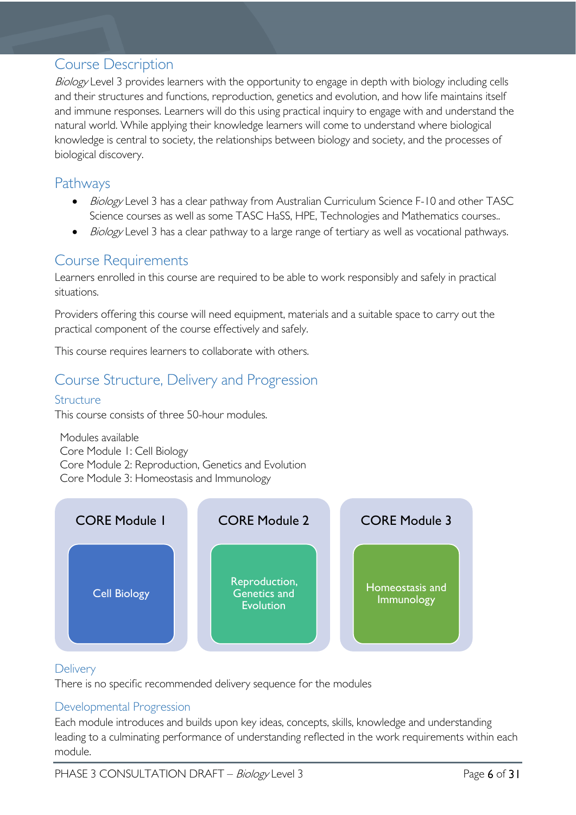# <span id="page-5-0"></span>Course Description

Biology Level 3 provides learners with the opportunity to engage in depth with biology including cells and their structures and functions, reproduction, genetics and evolution, and how life maintains itself and immune responses. Learners will do this using practical inquiry to engage with and understand the natural world. While applying their knowledge learners will come to understand where biological knowledge is central to society, the relationships between biology and society, and the processes of biological discovery.

# <span id="page-5-1"></span>Pathways

- Biology Level 3 has a clear pathway from Australian Curriculum Science F-10 and other TASC Science courses as well as some TASC HaSS, HPE, Technologies and Mathematics courses..
- Biology Level 3 has a clear pathway to a large range of tertiary as well as vocational pathways.

# <span id="page-5-2"></span>Course Requirements

Learners enrolled in this course are required to be able to work responsibly and safely in practical situations.

Providers offering this course will need equipment, materials and a suitable space to carry out the practical component of the course effectively and safely.

This course requires learners to collaborate with others.

# <span id="page-5-3"></span>Course Structure, Delivery and Progression

# <span id="page-5-4"></span>Structure

This course consists of three 50-hour modules.

Modules available Core Module 1: Cell Biology Core Module 2: Reproduction, Genetics and Evolution Core Module 3: Homeostasis and Immunology



# <span id="page-5-5"></span>**Delivery**

There is no specific recommended delivery sequence for the modules

# <span id="page-5-6"></span>Developmental Progression

Each module introduces and builds upon key ideas, concepts, skills, knowledge and understanding leading to a culminating performance of understanding reflected in the work requirements within each module.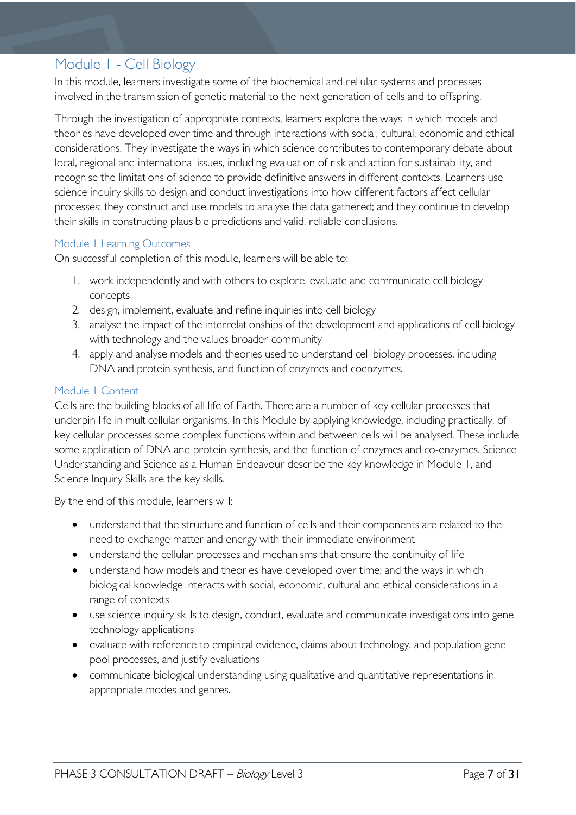# <span id="page-6-0"></span>Module 1 - Cell Biology

In this module, learners investigate some of the biochemical and cellular systems and processes involved in the transmission of genetic material to the next generation of cells and to offspring.

Through the investigation of appropriate contexts, learners explore the ways in which models and theories have developed over time and through interactions with social, cultural, economic and ethical considerations. They investigate the ways in which science contributes to contemporary debate about local, regional and international issues, including evaluation of risk and action for sustainability, and recognise the limitations of science to provide definitive answers in different contexts. Learners use science inquiry skills to design and conduct investigations into how different factors affect cellular processes; they construct and use models to analyse the data gathered; and they continue to develop their skills in constructing plausible predictions and valid, reliable conclusions.

#### <span id="page-6-1"></span>Module 1 Learning Outcomes

On successful completion of this module, learners will be able to:

- 1. work independently and with others to explore, evaluate and communicate cell biology concepts
- 2. design, implement, evaluate and refine inquiries into cell biology
- 3. analyse the impact of the interrelationships of the development and applications of cell biology with technology and the values broader community
- 4. apply and analyse models and theories used to understand cell biology processes, including DNA and protein synthesis, and function of enzymes and coenzymes.

#### <span id="page-6-2"></span>Module 1 Content

Cells are the building blocks of all life of Earth. There are a number of key cellular processes that underpin life in multicellular organisms. In this Module by applying knowledge, including practically, of key cellular processes some complex functions within and between cells will be analysed. These include some application of DNA and protein synthesis, and the function of enzymes and co-enzymes. Science Understanding and Science as a Human Endeavour describe the key knowledge in Module 1, and Science Inquiry Skills are the key skills.

By the end of this module, learners will:

- understand that the structure and function of cells and their components are related to the need to exchange matter and energy with their immediate environment
- understand the cellular processes and mechanisms that ensure the continuity of life
- understand how models and theories have developed over time; and the ways in which biological knowledge interacts with social, economic, cultural and ethical considerations in a range of contexts
- use science inquiry skills to design, conduct, evaluate and communicate investigations into gene technology applications
- evaluate with reference to empirical evidence, claims about technology, and population gene pool processes, and justify evaluations
- communicate biological understanding using qualitative and quantitative representations in appropriate modes and genres.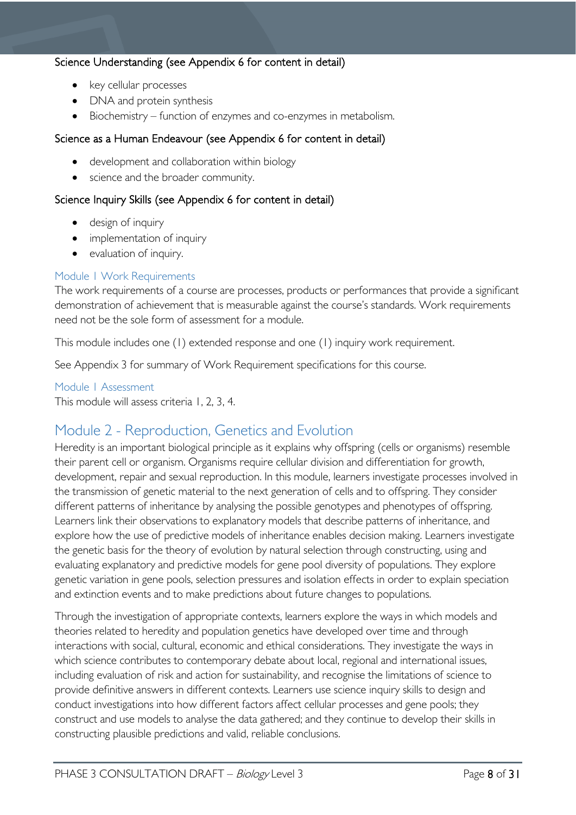# Science Understanding (see Appendix 6 for content in detail)

- key cellular processes
- DNA and protein synthesis
- Biochemistry function of enzymes and co-enzymes in metabolism.

### Science as a Human Endeavour (see Appendix 6 for content in detail)

- development and collaboration within biology
- science and the broader community.

### Science Inquiry Skills (see Appendix 6 for content in detail)

- design of inquiry
- implementation of inquiry
- evaluation of inquiry.

### <span id="page-7-0"></span>Module 1 Work Requirements

The work requirements of a course are processes, products or performances that provide a significant demonstration of achievement that is measurable against the course's standards. Work requirements need not be the sole form of assessment for a module.

This module includes one (1) extended response and one (1) inquiry work requirement.

See Appendix 3 for summary of Work Requirement specifications for this course.

#### <span id="page-7-1"></span>Module 1 Assessment

This module will assess criteria 1, 2, 3, 4.

# <span id="page-7-2"></span>Module 2 - Reproduction, Genetics and Evolution

Heredity is an important biological principle as it explains why offspring (cells or organisms) resemble their parent cell or organism. Organisms require cellular division and differentiation for growth, development, repair and sexual reproduction. In this module, learners investigate processes involved in the transmission of genetic material to the next generation of cells and to offspring. They consider different patterns of inheritance by analysing the possible genotypes and phenotypes of offspring. Learners link their observations to explanatory models that describe patterns of inheritance, and explore how the use of predictive models of inheritance enables decision making. Learners investigate the genetic basis for the theory of evolution by natural selection through constructing, using and evaluating explanatory and predictive models for gene pool diversity of populations. They explore genetic variation in gene pools, selection pressures and isolation effects in order to explain speciation and extinction events and to make predictions about future changes to populations.

Through the investigation of appropriate contexts, learners explore the ways in which models and theories related to heredity and population genetics have developed over time and through interactions with social, cultural, economic and ethical considerations. They investigate the ways in which science contributes to contemporary debate about local, regional and international issues, including evaluation of risk and action for sustainability, and recognise the limitations of science to provide definitive answers in different contexts. Learners use science inquiry skills to design and conduct investigations into how different factors affect cellular processes and gene pools; they construct and use models to analyse the data gathered; and they continue to develop their skills in constructing plausible predictions and valid, reliable conclusions.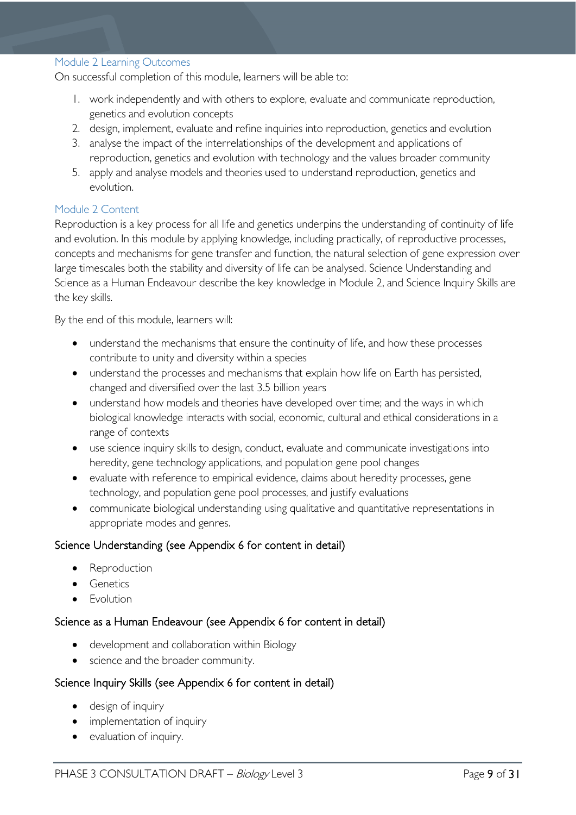#### <span id="page-8-0"></span>Module 2 Learning Outcomes

On successful completion of this module, learners will be able to:

- 1. work independently and with others to explore, evaluate and communicate reproduction, genetics and evolution concepts
- 2. design, implement, evaluate and refine inquiries into reproduction, genetics and evolution
- 3. analyse the impact of the interrelationships of the development and applications of reproduction, genetics and evolution with technology and the values broader community
- 5. apply and analyse models and theories used to understand reproduction, genetics and evolution.

#### <span id="page-8-1"></span>Module 2 Content

Reproduction is a key process for all life and genetics underpins the understanding of continuity of life and evolution. In this module by applying knowledge, including practically, of reproductive processes, concepts and mechanisms for gene transfer and function, the natural selection of gene expression over large timescales both the stability and diversity of life can be analysed. Science Understanding and Science as a Human Endeavour describe the key knowledge in Module 2, and Science Inquiry Skills are the key skills.

By the end of this module, learners will:

- understand the mechanisms that ensure the continuity of life, and how these processes contribute to unity and diversity within a species
- understand the processes and mechanisms that explain how life on Earth has persisted, changed and diversified over the last 3.5 billion years
- understand how models and theories have developed over time; and the ways in which biological knowledge interacts with social, economic, cultural and ethical considerations in a range of contexts
- use science inquiry skills to design, conduct, evaluate and communicate investigations into heredity, gene technology applications, and population gene pool changes
- evaluate with reference to empirical evidence, claims about heredity processes, gene technology, and population gene pool processes, and justify evaluations
- communicate biological understanding using qualitative and quantitative representations in appropriate modes and genres.

### Science Understanding (see Appendix 6 for content in detail)

- **Reproduction**
- Genetics
- Evolution

### Science as a Human Endeavour (see Appendix 6 for content in detail)

- development and collaboration within Biology
- science and the broader community.

#### Science Inquiry Skills (see Appendix 6 for content in detail)

- design of inquiry
- implementation of inquiry
- evaluation of inquiry.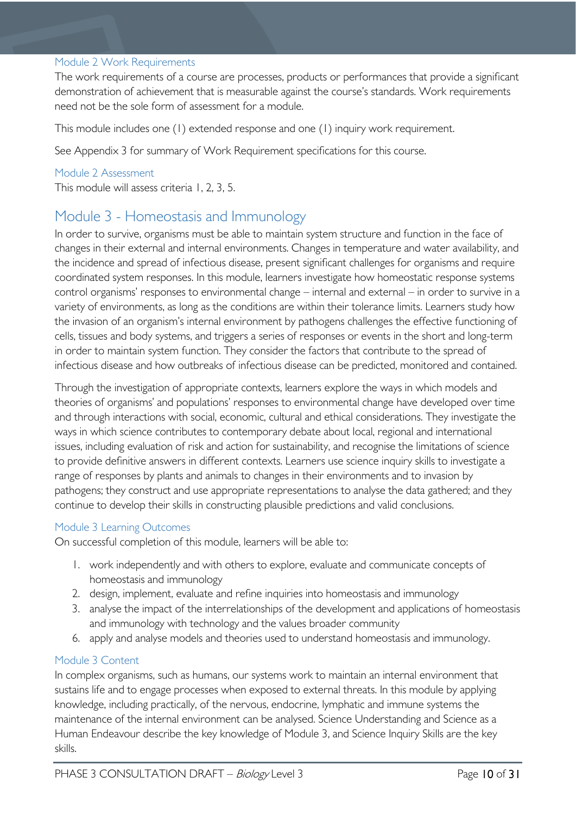#### <span id="page-9-0"></span>Module 2 Work Requirements

The work requirements of a course are processes, products or performances that provide a significant demonstration of achievement that is measurable against the course's standards. Work requirements need not be the sole form of assessment for a module.

This module includes one (1) extended response and one (1) inquiry work requirement.

See Appendix 3 for summary of Work Requirement specifications for this course.

#### <span id="page-9-1"></span>Module 2 Assessment

This module will assess criteria 1, 2, 3, 5.

# <span id="page-9-2"></span>Module 3 - Homeostasis and Immunology

In order to survive, organisms must be able to maintain system structure and function in the face of changes in their external and internal environments. Changes in temperature and water availability, and the incidence and spread of infectious disease, present significant challenges for organisms and require coordinated system responses. In this module, learners investigate how homeostatic response systems control organisms' responses to environmental change – internal and external – in order to survive in a variety of environments, as long as the conditions are within their tolerance limits. Learners study how the invasion of an organism's internal environment by pathogens challenges the effective functioning of cells, tissues and body systems, and triggers a series of responses or events in the short and long-term in order to maintain system function. They consider the factors that contribute to the spread of infectious disease and how outbreaks of infectious disease can be predicted, monitored and contained.

Through the investigation of appropriate contexts, learners explore the ways in which models and theories of organisms' and populations' responses to environmental change have developed over time and through interactions with social, economic, cultural and ethical considerations. They investigate the ways in which science contributes to contemporary debate about local, regional and international issues, including evaluation of risk and action for sustainability, and recognise the limitations of science to provide definitive answers in different contexts. Learners use science inquiry skills to investigate a range of responses by plants and animals to changes in their environments and to invasion by pathogens; they construct and use appropriate representations to analyse the data gathered; and they continue to develop their skills in constructing plausible predictions and valid conclusions.

#### <span id="page-9-3"></span>Module 3 Learning Outcomes

On successful completion of this module, learners will be able to:

- 1. work independently and with others to explore, evaluate and communicate concepts of homeostasis and immunology
- 2. design, implement, evaluate and refine inquiries into homeostasis and immunology
- 3. analyse the impact of the interrelationships of the development and applications of homeostasis and immunology with technology and the values broader community
- 6. apply and analyse models and theories used to understand homeostasis and immunology.

### <span id="page-9-4"></span>Module 3 Content

In complex organisms, such as humans, our systems work to maintain an internal environment that sustains life and to engage processes when exposed to external threats. In this module by applying knowledge, including practically, of the nervous, endocrine, lymphatic and immune systems the maintenance of the internal environment can be analysed. Science Understanding and Science as a Human Endeavour describe the key knowledge of Module 3, and Science Inquiry Skills are the key skills.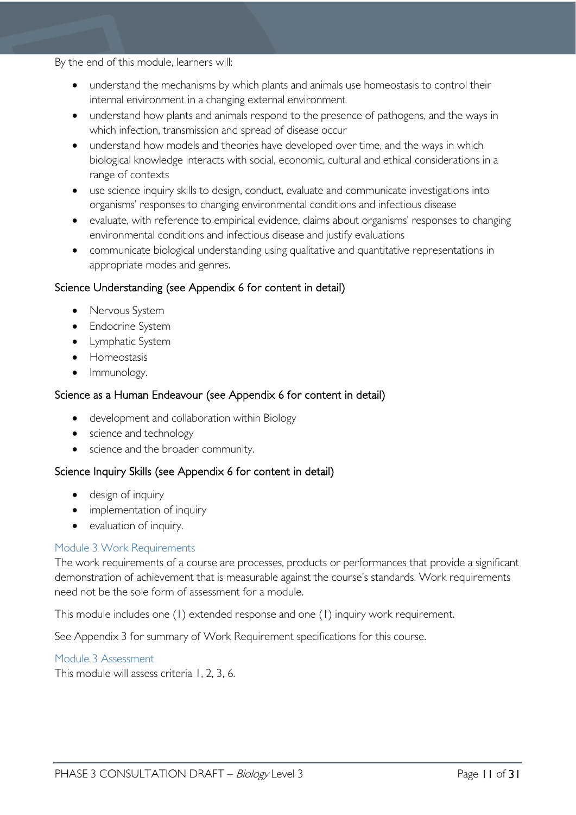By the end of this module, learners will:

- understand the mechanisms by which plants and animals use homeostasis to control their internal environment in a changing external environment
- understand how plants and animals respond to the presence of pathogens, and the ways in which infection, transmission and spread of disease occur
- understand how models and theories have developed over time, and the ways in which biological knowledge interacts with social, economic, cultural and ethical considerations in a range of contexts
- use science inquiry skills to design, conduct, evaluate and communicate investigations into organisms' responses to changing environmental conditions and infectious disease
- evaluate, with reference to empirical evidence, claims about organisms' responses to changing environmental conditions and infectious disease and justify evaluations
- communicate biological understanding using qualitative and quantitative representations in appropriate modes and genres.

# Science Understanding (see Appendix 6 for content in detail)

- Nervous System
- Endocrine System
- Lymphatic System
- Homeostasis
- Immunology.

# Science as a Human Endeavour (see Appendix 6 for content in detail)

- development and collaboration within Biology
- science and technology
- science and the broader community.

# Science Inquiry Skills (see Appendix 6 for content in detail)

- design of inquiry
- implementation of inquiry
- evaluation of inquiry.

### <span id="page-10-0"></span>Module 3 Work Requirements

The work requirements of a course are processes, products or performances that provide a significant demonstration of achievement that is measurable against the course's standards. Work requirements need not be the sole form of assessment for a module.

This module includes one (1) extended response and one (1) inquiry work requirement.

See Appendix 3 for summary of Work Requirement specifications for this course.

### <span id="page-10-1"></span>Module 3 Assessment

This module will assess criteria 1, 2, 3, 6.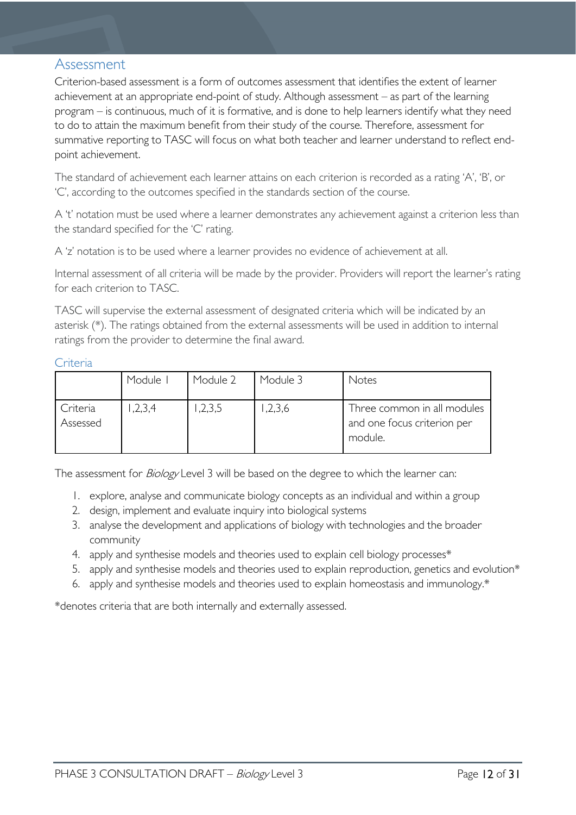# <span id="page-11-0"></span>Assessment

Criterion-based assessment is a form of outcomes assessment that identifies the extent of learner achievement at an appropriate end-point of study. Although assessment – as part of the learning program – is continuous, much of it is formative, and is done to help learners identify what they need to do to attain the maximum benefit from their study of the course. Therefore, assessment for summative reporting to TASC will focus on what both teacher and learner understand to reflect endpoint achievement.

The standard of achievement each learner attains on each criterion is recorded as a rating 'A', 'B', or 'C', according to the outcomes specified in the standards section of the course.

A 't' notation must be used where a learner demonstrates any achievement against a criterion less than the standard specified for the 'C' rating.

A 'z' notation is to be used where a learner provides no evidence of achievement at all.

Internal assessment of all criteria will be made by the provider. Providers will report the learner's rating for each criterion to TASC.

TASC will supervise the external assessment of designated criteria which will be indicated by an asterisk (\*). The ratings obtained from the external assessments will be used in addition to internal ratings from the provider to determine the final award.

### <span id="page-11-1"></span>**Criteria**

|                      | Module I | Module 2 | Module 3 | Notes                                                                 |
|----------------------|----------|----------|----------|-----------------------------------------------------------------------|
| Criteria<br>Assessed | ,2,3,4   | ,2,3,5   | 1,2,3,6  | Three common in all modules<br>and one focus criterion per<br>module. |

The assessment for *Biology* Level 3 will be based on the degree to which the learner can:

- 1. explore, analyse and communicate biology concepts as an individual and within a group
- 2. design, implement and evaluate inquiry into biological systems
- 3. analyse the development and applications of biology with technologies and the broader community
- 4. apply and synthesise models and theories used to explain cell biology processes\*
- 5. apply and synthesise models and theories used to explain reproduction, genetics and evolution\*
- 6. apply and synthesise models and theories used to explain homeostasis and immunology.\*

\*denotes criteria that are both internally and externally assessed.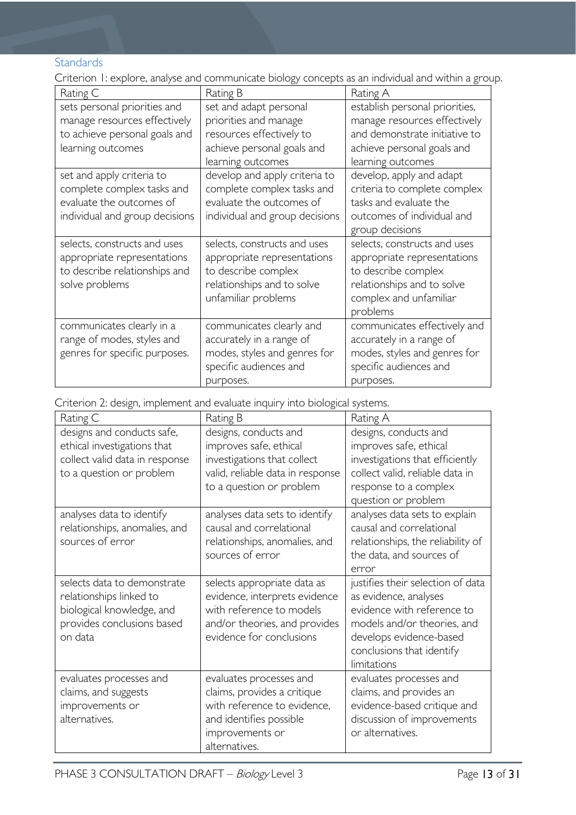# <span id="page-12-0"></span>**Standards**

Criterion 1: explore, analyse and communicate biology concepts as an individual and within a group.

| Rating C                       | Rating B                       | Rating A                       |
|--------------------------------|--------------------------------|--------------------------------|
| sets personal priorities and   | set and adapt personal         | establish personal priorities, |
| manage resources effectively   | priorities and manage          | manage resources effectively   |
| to achieve personal goals and  | resources effectively to       | and demonstrate initiative to  |
| learning outcomes              | achieve personal goals and     | achieve personal goals and     |
|                                | learning outcomes              | learning outcomes              |
| set and apply criteria to      | develop and apply criteria to  | develop, apply and adapt       |
| complete complex tasks and     | complete complex tasks and     | criteria to complete complex   |
| evaluate the outcomes of       | evaluate the outcomes of       | tasks and evaluate the         |
| individual and group decisions | individual and group decisions | outcomes of individual and     |
|                                |                                | group decisions                |
| selects, constructs and uses   | selects, constructs and uses   | selects, constructs and uses   |
| appropriate representations    | appropriate representations    | appropriate representations    |
| to describe relationships and  | to describe complex            | to describe complex            |
| solve problems                 | relationships and to solve     | relationships and to solve     |
|                                | unfamiliar problems            | complex and unfamiliar         |
|                                |                                | problems                       |
| communicates clearly in a      | communicates clearly and       | communicates effectively and   |
| range of modes, styles and     | accurately in a range of       | accurately in a range of       |
| genres for specific purposes.  | modes, styles and genres for   | modes, styles and genres for   |
|                                | specific audiences and         | specific audiences and         |
|                                | purposes.                      | purposes.                      |

Criterion 2: design, implement and evaluate inquiry into biological systems.

| Rating C                                                                                                                     | Rating B                                                                                                                                              | Rating A                                                                                                                                                                                       |
|------------------------------------------------------------------------------------------------------------------------------|-------------------------------------------------------------------------------------------------------------------------------------------------------|------------------------------------------------------------------------------------------------------------------------------------------------------------------------------------------------|
| designs and conducts safe,<br>ethical investigations that<br>collect valid data in response<br>to a question or problem      | designs, conducts and<br>improves safe, ethical<br>investigations that collect<br>valid, reliable data in response<br>to a question or problem        | designs, conducts and<br>improves safe, ethical<br>investigations that efficiently<br>collect valid, reliable data in<br>response to a complex<br>question or problem                          |
| analyses data to identify<br>relationships, anomalies, and<br>sources of error                                               | analyses data sets to identify<br>causal and correlational<br>relationships, anomalies, and<br>sources of error                                       | analyses data sets to explain<br>causal and correlational<br>relationships, the reliability of<br>the data, and sources of<br>error                                                            |
| selects data to demonstrate<br>relationships linked to<br>biological knowledge, and<br>provides conclusions based<br>on data | selects appropriate data as<br>evidence, interprets evidence<br>with reference to models<br>and/or theories, and provides<br>evidence for conclusions | justifies their selection of data<br>as evidence, analyses<br>evidence with reference to<br>models and/or theories, and<br>develops evidence-based<br>conclusions that identify<br>limitations |
| evaluates processes and<br>claims, and suggests<br>improvements or<br>alternatives.                                          | evaluates processes and<br>claims, provides a critique<br>with reference to evidence,<br>and identifies possible<br>improvements or<br>alternatives.  | evaluates processes and<br>claims, and provides an<br>evidence-based critique and<br>discussion of improvements<br>or alternatives.                                                            |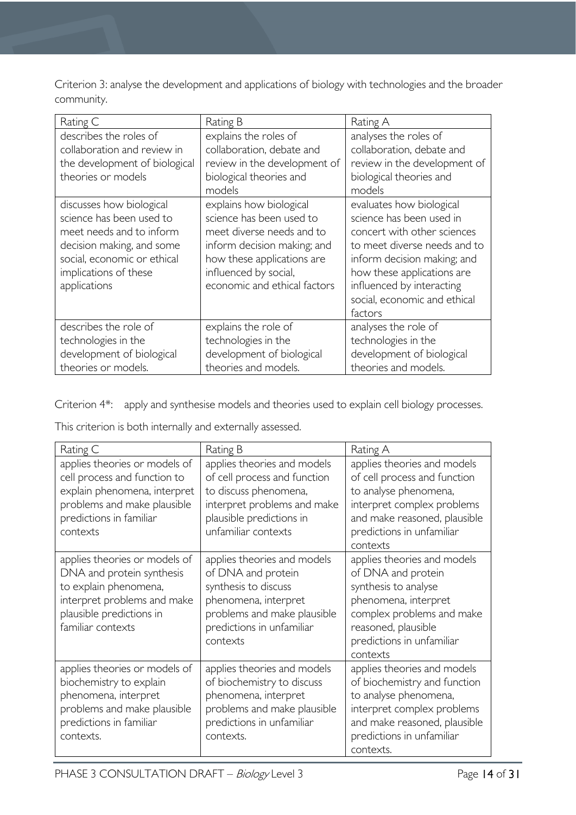Criterion 3: analyse the development and applications of biology with technologies and the broader community.

| Rating C                      | Rating B                     | Rating A                     |
|-------------------------------|------------------------------|------------------------------|
| describes the roles of        | explains the roles of        | analyses the roles of        |
| collaboration and review in   | collaboration, debate and    | collaboration, debate and    |
| the development of biological | review in the development of | review in the development of |
| theories or models            | biological theories and      | biological theories and      |
|                               | models                       | models                       |
| discusses how biological      | explains how biological      | evaluates how biological     |
| science has been used to      | science has been used to     | science has been used in     |
| meet needs and to inform      | meet diverse needs and to    | concert with other sciences  |
| decision making, and some     | inform decision making; and  | to meet diverse needs and to |
| social, economic or ethical   | how these applications are   | inform decision making; and  |
| implications of these         | influenced by social,        | how these applications are   |
| applications                  | economic and ethical factors | influenced by interacting    |
|                               |                              | social, economic and ethical |
|                               |                              | factors                      |
| describes the role of         | explains the role of         | analyses the role of         |
| technologies in the           | technologies in the          | technologies in the          |
| development of biological     | development of biological    | development of biological    |
| theories or models.           | theories and models.         | theories and models.         |

Criterion 4\*: apply and synthesise models and theories used to explain cell biology processes.

This criterion is both internally and externally assessed.

| Rating C                                                                                                                                                            | Rating B                                                                                                                                                                  | Rating A                                                                                                                                                                                       |
|---------------------------------------------------------------------------------------------------------------------------------------------------------------------|---------------------------------------------------------------------------------------------------------------------------------------------------------------------------|------------------------------------------------------------------------------------------------------------------------------------------------------------------------------------------------|
| applies theories or models of<br>cell process and function to<br>explain phenomena, interpret<br>problems and make plausible<br>predictions in familiar<br>contexts | applies theories and models<br>of cell process and function<br>to discuss phenomena,<br>interpret problems and make<br>plausible predictions in<br>unfamiliar contexts    | applies theories and models<br>of cell process and function<br>to analyse phenomena,<br>interpret complex problems<br>and make reasoned, plausible<br>predictions in unfamiliar<br>contexts    |
| applies theories or models of<br>DNA and protein synthesis<br>to explain phenomena,<br>interpret problems and make<br>plausible predictions in<br>familiar contexts | applies theories and models<br>of DNA and protein<br>synthesis to discuss<br>phenomena, interpret<br>problems and make plausible<br>predictions in unfamiliar<br>contexts | applies theories and models<br>of DNA and protein<br>synthesis to analyse<br>phenomena, interpret<br>complex problems and make<br>reasoned, plausible<br>predictions in unfamiliar<br>contexts |
| applies theories or models of<br>biochemistry to explain<br>phenomena, interpret<br>problems and make plausible<br>predictions in familiar<br>contexts.             | applies theories and models<br>of biochemistry to discuss<br>phenomena, interpret<br>problems and make plausible<br>predictions in unfamiliar<br>contexts.                | applies theories and models<br>of biochemistry and function<br>to analyse phenomena,<br>interpret complex problems<br>and make reasoned, plausible<br>predictions in unfamiliar<br>contexts.   |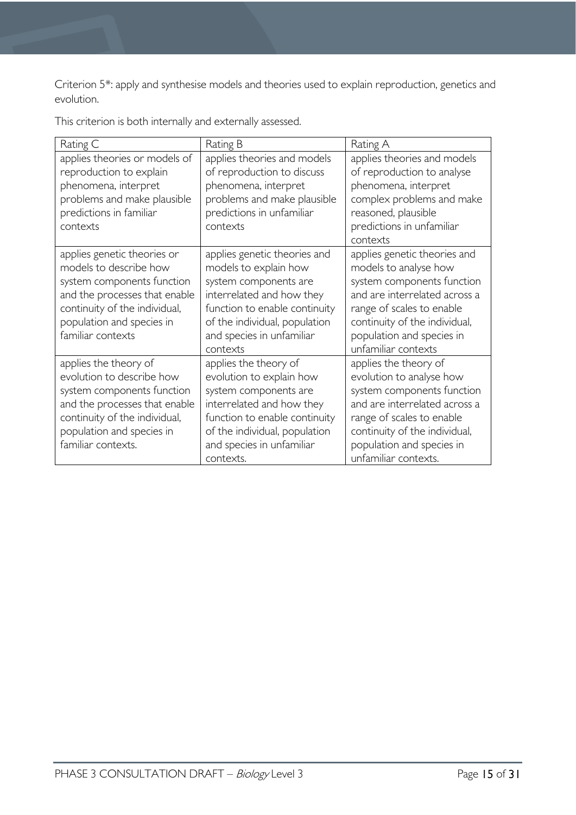Criterion 5\*: apply and synthesise models and theories used to explain reproduction, genetics and evolution.

This criterion is both internally and externally assessed.

| Rating C                                                                                                                                                                                                | Rating B                                                                                                                                                                                                               | Rating A                                                                                                                                                                                                                               |
|---------------------------------------------------------------------------------------------------------------------------------------------------------------------------------------------------------|------------------------------------------------------------------------------------------------------------------------------------------------------------------------------------------------------------------------|----------------------------------------------------------------------------------------------------------------------------------------------------------------------------------------------------------------------------------------|
| applies theories or models of<br>reproduction to explain<br>phenomena, interpret<br>problems and make plausible<br>predictions in familiar<br>contexts                                                  | applies theories and models<br>of reproduction to discuss<br>phenomena, interpret<br>problems and make plausible<br>predictions in unfamiliar<br>contexts                                                              | applies theories and models<br>of reproduction to analyse<br>phenomena, interpret<br>complex problems and make<br>reasoned, plausible<br>predictions in unfamiliar<br>contexts                                                         |
| applies genetic theories or<br>models to describe how<br>system components function<br>and the processes that enable<br>continuity of the individual,<br>population and species in<br>familiar contexts | applies genetic theories and<br>models to explain how<br>system components are<br>interrelated and how they<br>function to enable continuity<br>of the individual, population<br>and species in unfamiliar<br>contexts | applies genetic theories and<br>models to analyse how<br>system components function<br>and are interrelated across a<br>range of scales to enable<br>continuity of the individual,<br>population and species in<br>unfamiliar contexts |
| applies the theory of<br>evolution to describe how<br>system components function<br>and the processes that enable<br>continuity of the individual,<br>population and species in<br>familiar contexts.   | applies the theory of<br>evolution to explain how<br>system components are<br>interrelated and how they<br>function to enable continuity<br>of the individual, population<br>and species in unfamiliar<br>contexts.    | applies the theory of<br>evolution to analyse how<br>system components function<br>and are interrelated across a<br>range of scales to enable<br>continuity of the individual,<br>population and species in<br>unfamiliar contexts.    |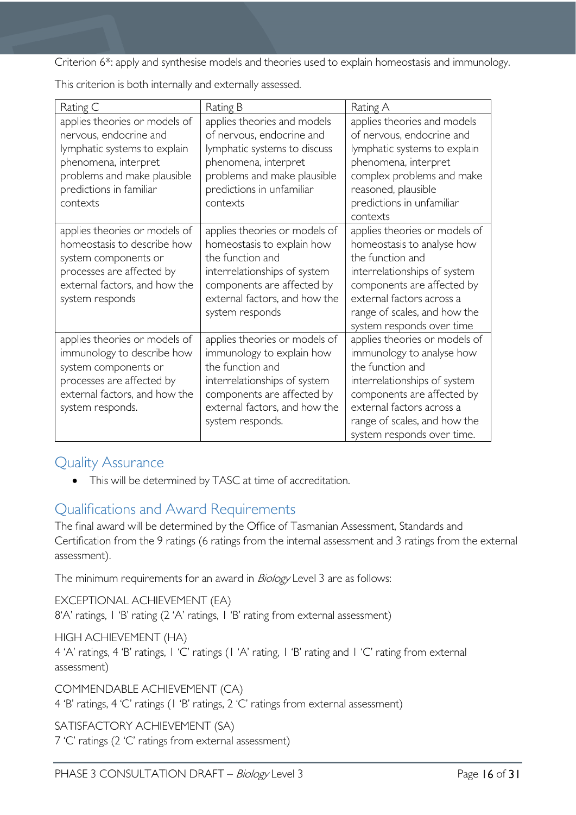Criterion 6\*: apply and synthesise models and theories used to explain homeostasis and immunology.

| Rating C                                                                                                                                                                              | Rating B                                                                                                                                                                                          | Rating A                                                                                                                                                                                                                                |
|---------------------------------------------------------------------------------------------------------------------------------------------------------------------------------------|---------------------------------------------------------------------------------------------------------------------------------------------------------------------------------------------------|-----------------------------------------------------------------------------------------------------------------------------------------------------------------------------------------------------------------------------------------|
| applies theories or models of<br>nervous, endocrine and<br>lymphatic systems to explain<br>phenomena, interpret<br>problems and make plausible<br>predictions in familiar<br>contexts | applies theories and models<br>of nervous, endocrine and<br>lymphatic systems to discuss<br>phenomena, interpret<br>problems and make plausible<br>predictions in unfamiliar<br>contexts          | applies theories and models<br>of nervous, endocrine and<br>lymphatic systems to explain<br>phenomena, interpret<br>complex problems and make<br>reasoned, plausible<br>predictions in unfamiliar<br>contexts                           |
| applies theories or models of<br>homeostasis to describe how<br>system components or<br>processes are affected by<br>external factors, and how the<br>system responds                 | applies theories or models of<br>homeostasis to explain how<br>the function and<br>interrelationships of system<br>components are affected by<br>external factors, and how the<br>system responds | applies theories or models of<br>homeostasis to analyse how<br>the function and<br>interrelationships of system<br>components are affected by<br>external factors across a<br>range of scales, and how the<br>system responds over time |
| applies theories or models of<br>immunology to describe how<br>system components or<br>processes are affected by<br>external factors, and how the<br>system responds.                 | applies theories or models of<br>immunology to explain how<br>the function and<br>interrelationships of system<br>components are affected by<br>external factors, and how the<br>system responds. | applies theories or models of<br>immunology to analyse how<br>the function and<br>interrelationships of system<br>components are affected by<br>external factors across a<br>range of scales, and how the<br>system responds over time. |

This criterion is both internally and externally assessed.

# <span id="page-15-0"></span>Quality Assurance

• This will be determined by TASC at time of accreditation.

# <span id="page-15-1"></span>Qualifications and Award Requirements

The final award will be determined by the Office of Tasmanian Assessment, Standards and Certification from the 9 ratings (6 ratings from the internal assessment and 3 ratings from the external assessment).

The minimum requirements for an award in *Biology* Level 3 are as follows:

EXCEPTIONAL ACHIEVEMENT (EA) 8'A' ratings, 1 'B' rating (2 'A' ratings, 1 'B' rating from external assessment)

HIGH ACHIEVEMENT (HA) 4 'A' ratings, 4 'B' ratings, 1 'C' ratings (1 'A' rating, 1 'B' rating and 1 'C' rating from external assessment)

COMMENDABLE ACHIEVEMENT (CA) 4 'B' ratings, 4 'C' ratings (1 'B' ratings, 2 'C' ratings from external assessment)

SATISFACTORY ACHIEVEMENT (SA)

7 'C' ratings (2 'C' ratings from external assessment)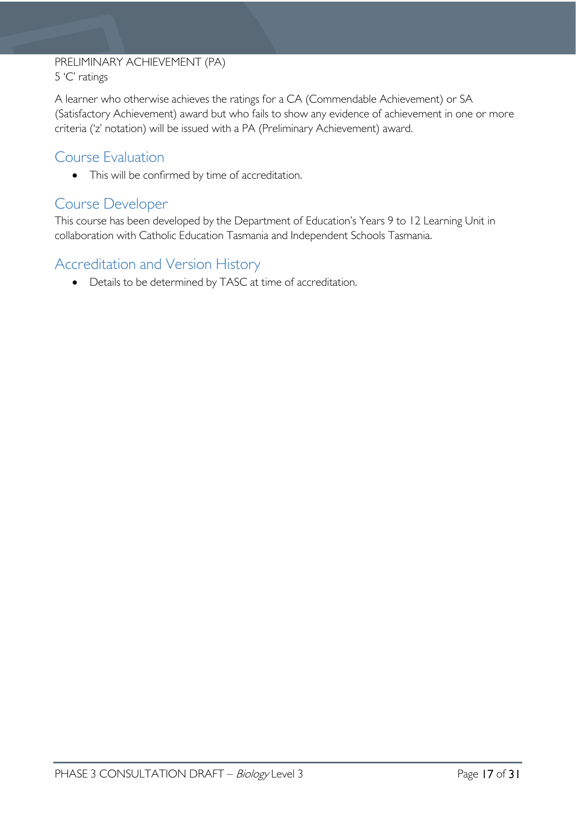# PRELIMINARY ACHIEVEMENT (PA) 5 'C' ratings

A learner who otherwise achieves the ratings for a CA (Commendable Achievement) or SA (Satisfactory Achievement) award but who fails to show any evidence of achievement in one or more criteria ('z' notation) will be issued with a PA (Preliminary Achievement) award.

# <span id="page-16-0"></span>Course Evaluation

• This will be confirmed by time of accreditation.

# <span id="page-16-1"></span>Course Developer

This course has been developed by the Department of Education's Years 9 to 12 Learning Unit in collaboration with Catholic Education Tasmania and Independent Schools Tasmania.

# <span id="page-16-2"></span>Accreditation and Version History

• Details to be determined by TASC at time of accreditation.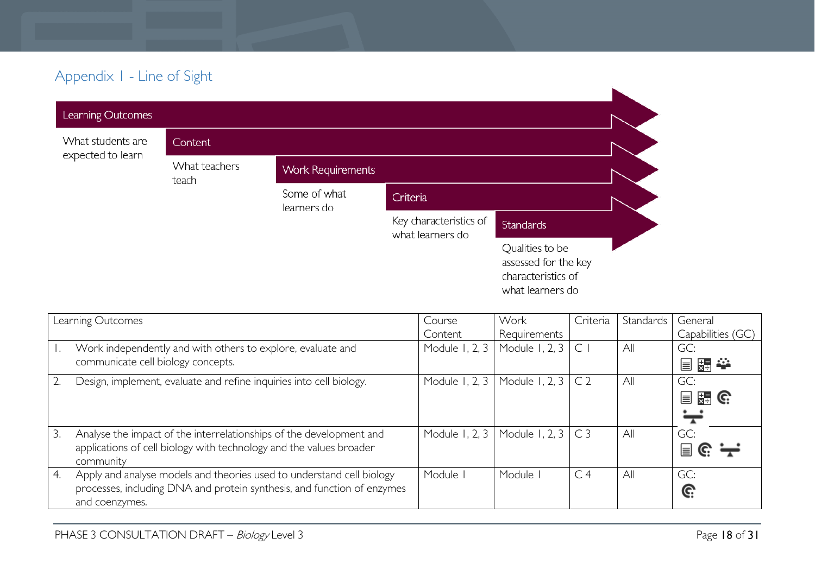# Appendix 1 - Line of Sight

| . .               |                        |                             |                                            |                                                                                   |  |
|-------------------|------------------------|-----------------------------|--------------------------------------------|-----------------------------------------------------------------------------------|--|
| Learning Outcomes |                        |                             |                                            |                                                                                   |  |
| What students are | Content                |                             |                                            |                                                                                   |  |
| expected to learn | What teachers<br>teach | <b>Work Requirements</b>    |                                            |                                                                                   |  |
|                   |                        | Some of what<br>learners do | Criteria                                   |                                                                                   |  |
|                   |                        |                             | Key characteristics of<br>what learners do | <b>Standards</b>                                                                  |  |
|                   |                        |                             |                                            | Qualities to be<br>assessed for the key<br>characteristics of<br>what learners do |  |

<span id="page-17-0"></span>

|    | Learning Outcomes                                                                         | Course              | Work           | Criteria       | Standards | General                     |
|----|-------------------------------------------------------------------------------------------|---------------------|----------------|----------------|-----------|-----------------------------|
|    |                                                                                           | Content             | Requirements   |                |           | Capabilities (GC)           |
|    | Work independently and with others to explore, evaluate and                               | Module 1, 2, 3      | Module 1, 2, 3 | $\subset$      | All       | GC:                         |
|    | communicate cell biology concepts.                                                        |                     |                |                |           | 冒點拳                         |
|    | Design, implement, evaluate and refine inquiries into cell biology.                       | Module 1, 2, 3      | Module 1, 2, 3 | C <sub>2</sub> | All       | GC:                         |
|    |                                                                                           |                     |                |                |           | $\frac{1}{24}$ G.<br>冒      |
|    |                                                                                           |                     |                |                |           |                             |
| 3. | Analyse the impact of the interrelationships of the development and                       | Module 1, 2, 3      | Module 1, 2, 3 | C <sub>3</sub> | All       | GC:                         |
|    | applications of cell biology with technology and the values broader<br>community          |                     |                |                |           | $\mathbf{r} \in \mathbb{R}$ |
| 4. | Apply and analyse models and theories used to understand cell biology                     | Module <sup>1</sup> | Module         | C <sub>4</sub> | All       | GC:                         |
|    | processes, including DNA and protein synthesis, and function of enzymes<br>and coenzymes. |                     |                |                |           | G:                          |
|    |                                                                                           |                     |                |                |           |                             |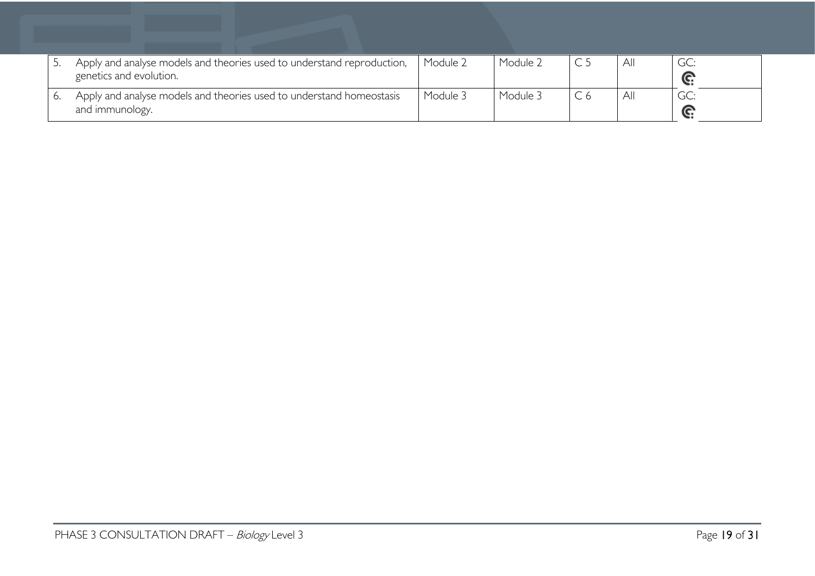| Apply and analyse models and theories used to understand reproduction,<br>genetics and evolution. | Module 2 | Module 2 | ΑI           | GC:<br>e          |
|---------------------------------------------------------------------------------------------------|----------|----------|--------------|-------------------|
| Apply and analyse models and theories used to understand homeostasis<br>and immunology.           | Module 3 | Module 3 | $\mathsf{A}$ | GC:<br>$\sqrt{2}$ |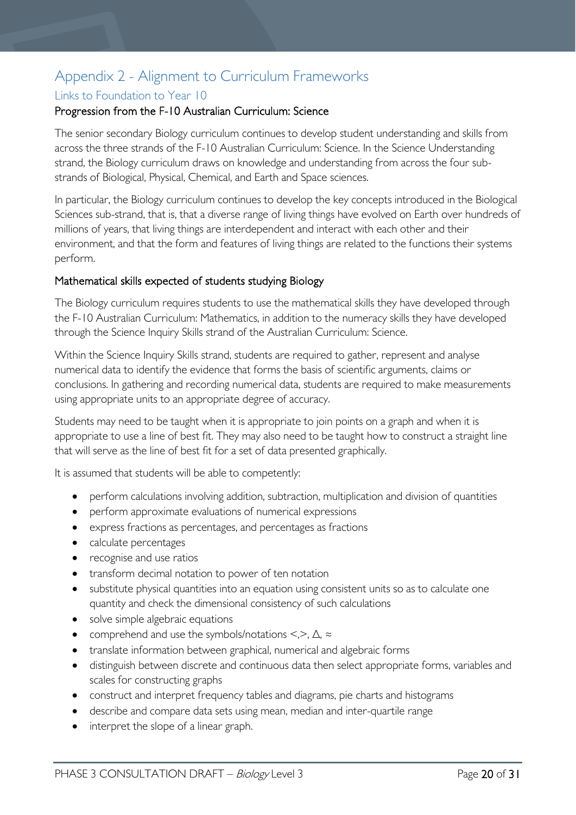# <span id="page-19-0"></span>Appendix 2 - Alignment to Curriculum Frameworks

# <span id="page-19-1"></span>Links to Foundation to Year 10

# Progression from the F-10 Australian Curriculum: Science

The senior secondary Biology curriculum continues to develop student understanding and skills from across the three strands of the F-10 Australian Curriculum: Science. In the Science Understanding strand, the Biology curriculum draws on knowledge and understanding from across the four substrands of Biological, Physical, Chemical, and Earth and Space sciences.

In particular, the Biology curriculum continues to develop the key concepts introduced in the Biological Sciences sub-strand, that is, that a diverse range of living things have evolved on Earth over hundreds of millions of years, that living things are interdependent and interact with each other and their environment, and that the form and features of living things are related to the functions their systems perform.

# Mathematical skills expected of students studying Biology

The Biology curriculum requires students to use the mathematical skills they have developed through the F-10 Australian Curriculum: Mathematics, in addition to the numeracy skills they have developed through the Science Inquiry Skills strand of the Australian Curriculum: Science.

Within the Science Inquiry Skills strand, students are required to gather, represent and analyse numerical data to identify the evidence that forms the basis of scientific arguments, claims or conclusions. In gathering and recording numerical data, students are required to make measurements using appropriate units to an appropriate degree of accuracy.

Students may need to be taught when it is appropriate to join points on a graph and when it is appropriate to use a line of best fit. They may also need to be taught how to construct a straight line that will serve as the line of best fit for a set of data presented graphically.

It is assumed that students will be able to competently:

- perform calculations involving addition, subtraction, multiplication and division of quantities
- perform approximate evaluations of numerical expressions
- express fractions as percentages, and percentages as fractions
- calculate percentages
- recognise and use ratios
- transform decimal notation to power of ten notation
- substitute physical quantities into an equation using consistent units so as to calculate one quantity and check the dimensional consistency of such calculations
- solve simple algebraic equations
- comprehend and use the symbols/notations <,>, ∆, ≈
- translate information between graphical, numerical and algebraic forms
- distinguish between discrete and continuous data then select appropriate forms, variables and scales for constructing graphs
- construct and interpret frequency tables and diagrams, pie charts and histograms
- describe and compare data sets using mean, median and inter-quartile range
- interpret the slope of a linear graph.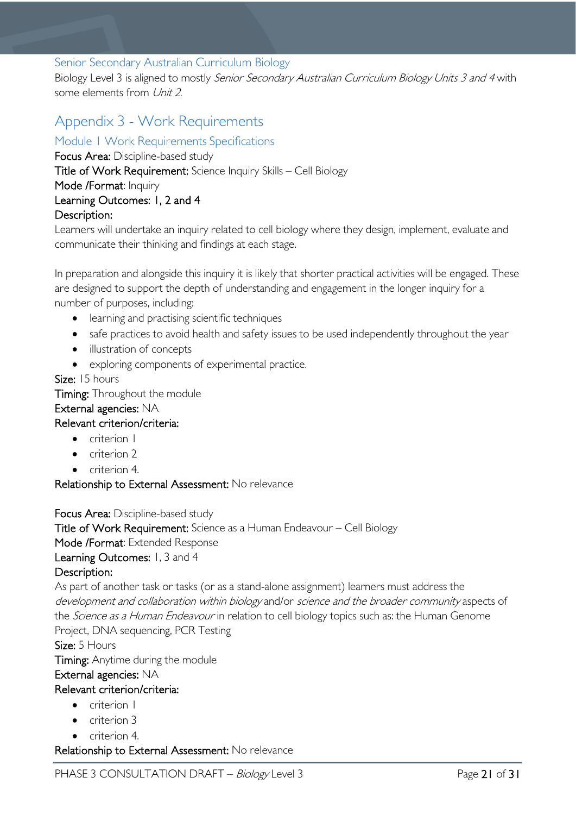# <span id="page-20-0"></span>Senior Secondary Australian Curriculum Biology

Biology Level 3 is aligned to mostly Senior Secondary Australian Curriculum Biology Units 3 and 4 with some elements from Unit 2.

# <span id="page-20-1"></span>Appendix 3 - Work Requirements

<span id="page-20-2"></span>Module 1 Work Requirements Specifications

Focus Area: Discipline-based study Title of Work Requirement: Science Inquiry Skills – Cell Biology Mode /Format: Inquiry Learning Outcomes: 1, 2 and 4 Description:

Learners will undertake an inquiry related to cell biology where they design, implement, evaluate and communicate their thinking and findings at each stage.

In preparation and alongside this inquiry it is likely that shorter practical activities will be engaged. These are designed to support the depth of understanding and engagement in the longer inquiry for a number of purposes, including:

- learning and practising scientific techniques
- safe practices to avoid health and safety issues to be used independently throughout the year
- illustration of concepts
- exploring components of experimental practice.

### Size: 15 hours

**Timing:** Throughout the module

### External agencies: NA

# Relevant criterion/criteria:

- criterion I
- criterion 2
- criterion 4.

Relationship to External Assessment: No relevance

Focus Area: Discipline-based study

Title of Work Requirement: Science as a Human Endeavour – Cell Biology

Mode /Format: Extended Response

Learning Outcomes: 1, 3 and 4

# Description:

As part of another task or tasks (or as a stand-alone assignment) learners must address the development and collaboration within biology and/or science and the broader community aspects of the *Science as a Human Endeavour* in relation to cell biology topics such as: the Human Genome Project, DNA sequencing, PCR Testing

Size: 5 Hours

Timing: Anytime during the module

# External agencies: NA

# Relevant criterion/criteria:

- criterion I
- criterion 3
- criterion 4.

Relationship to External Assessment: No relevance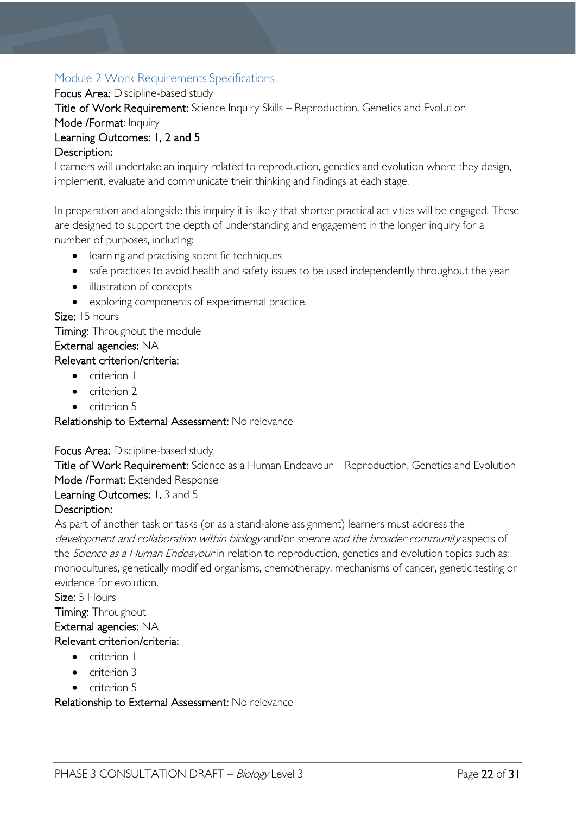# <span id="page-21-0"></span>Module 2 Work Requirements Specifications

Focus Area: Discipline-based study

Title of Work Requirement: Science Inquiry Skills – Reproduction, Genetics and Evolution

Mode /Format: Inquiry

# Learning Outcomes: 1, 2 and 5

# Description:

Learners will undertake an inquiry related to reproduction, genetics and evolution where they design, implement, evaluate and communicate their thinking and findings at each stage.

In preparation and alongside this inquiry it is likely that shorter practical activities will be engaged. These are designed to support the depth of understanding and engagement in the longer inquiry for a number of purposes, including:

- learning and practising scientific techniques
- safe practices to avoid health and safety issues to be used independently throughout the year
- illustration of concepts
- exploring components of experimental practice.

Size: 15 hours

**Timing:** Throughout the module

# External agencies: NA

# Relevant criterion/criteria:

- criterion I
- criterion 2
- criterion 5

# Relationship to External Assessment: No relevance

# Focus Area: Discipline-based study

Title of Work Requirement: Science as a Human Endeavour – Reproduction, Genetics and Evolution Mode /Format: Extended Response

# Learning Outcomes: 1, 3 and 5

# Description:

As part of another task or tasks (or as a stand-alone assignment) learners must address the development and collaboration within biology and/or science and the broader community aspects of the *Science as a Human Endeavour* in relation to reproduction, genetics and evolution topics such as: monocultures, genetically modified organisms, chemotherapy, mechanisms of cancer, genetic testing or evidence for evolution.

# Size: 5 Hours

Timing: Throughout

# External agencies: NA

# Relevant criterion/criteria:

- criterion I
- criterion 3
- criterion 5

Relationship to External Assessment: No relevance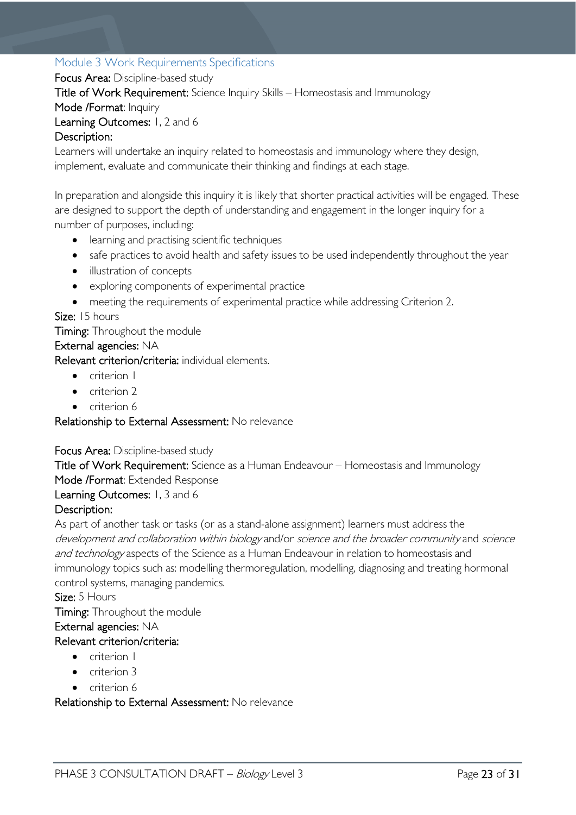# <span id="page-22-0"></span>Module 3 Work Requirements Specifications

Focus Area: Discipline-based study

Title of Work Requirement: Science Inquiry Skills – Homeostasis and Immunology

Mode /Format: Inquiry

Learning Outcomes: 1, 2 and 6

# Description:

Learners will undertake an inquiry related to homeostasis and immunology where they design, implement, evaluate and communicate their thinking and findings at each stage.

In preparation and alongside this inquiry it is likely that shorter practical activities will be engaged. These are designed to support the depth of understanding and engagement in the longer inquiry for a number of purposes, including:

- learning and practising scientific techniques
- safe practices to avoid health and safety issues to be used independently throughout the year
- illustration of concepts
- exploring components of experimental practice
- meeting the requirements of experimental practice while addressing Criterion 2.

### Size: 15 hours

Timing: Throughout the module

#### External agencies: NA

Relevant criterion/criteria: individual elements.

- criterion I
- criterion 2
- criterion 6

### Relationship to External Assessment: No relevance

#### Focus Area: Discipline-based study

Title of Work Requirement: Science as a Human Endeavour – Homeostasis and Immunology Mode /Format: Extended Response

### Learning Outcomes: 1, 3 and 6

### Description:

As part of another task or tasks (or as a stand-alone assignment) learners must address the development and collaboration within biology and/or science and the broader community and science and technology aspects of the Science as a Human Endeavour in relation to homeostasis and immunology topics such as: modelling thermoregulation, modelling, diagnosing and treating hormonal control systems, managing pandemics.

### Size: 5 Hours

Timing: Throughout the module

### External agencies: NA

### Relevant criterion/criteria:

- criterion I
- criterion 3
- criterion 6

### Relationship to External Assessment: No relevance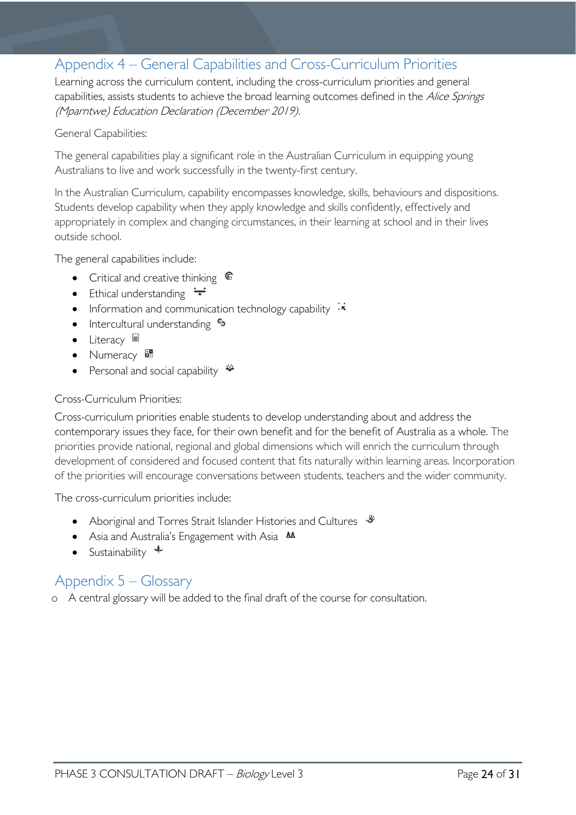# <span id="page-23-0"></span>Appendix 4 – General Capabilities and Cross-Curriculum Priorities

Learning across the curriculum content, including the cross-curriculum priorities and general capabilities, assists students to achieve the broad learning outcomes defined in the Alice Springs (Mparntwe) Education Declaration (December 2019).

#### General Capabilities:

The general capabilities play a significant role in the Australian Curriculum in equipping young Australians to live and work successfully in the twenty-first century.

In the Australian Curriculum, capability encompasses knowledge, skills, behaviours and dispositions. Students develop capability when they apply knowledge and skills confidently, effectively and appropriately in complex and changing circumstances, in their learning at school and in their lives outside school.

The general capabilities include:

- Critical and creative thinking  $\mathbb{C}$
- Ethical understanding  $\div$
- Information and communication technology capability  $\cdot \cdot$
- Intercultural understanding •
- Literacy  $\blacksquare$
- Numeracy
- Personal and social capability  $\ddot{\ddot{}}$

#### Cross-Curriculum Priorities:

Cross-curriculum priorities enable students to develop understanding about and address the contemporary issues they face, for their own benefit and for the benefit of Australia as a whole. The priorities provide national, regional and global dimensions which will enrich the curriculum through development of considered and focused content that fits naturally within learning areas. Incorporation of the priorities will encourage conversations between students, teachers and the wider community.

The cross-curriculum priorities include:

- Aboriginal and Torres Strait Islander Histories and Cultures  $\frac{1}{2}$
- Asia and Australia's Engagement with Asia **MA**
- Sustainability  $\triangleq$

# <span id="page-23-1"></span>Appendix 5 – Glossary

o A central glossary will be added to the final draft of the course for consultation.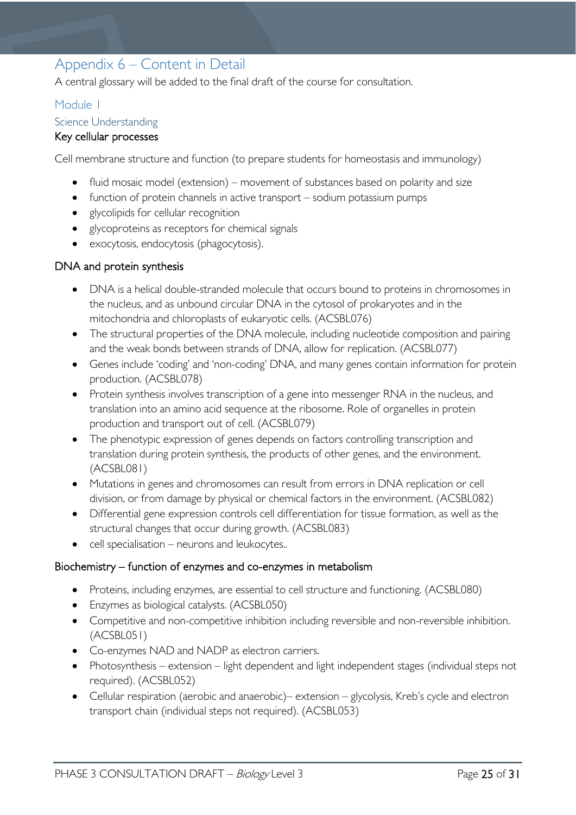# <span id="page-24-0"></span>Appendix 6 – Content in Detail

A central glossary will be added to the final draft of the course for consultation.

# <span id="page-24-1"></span>Module 1

### <span id="page-24-2"></span>Science Understanding

# Key cellular processes

Cell membrane structure and function (to prepare students for homeostasis and immunology)

- fluid mosaic model (extension) movement of substances based on polarity and size
- function of protein channels in active transport sodium potassium pumps
- glycolipids for cellular recognition
- glycoproteins as receptors for chemical signals
- exocytosis, endocytosis (phagocytosis).

### DNA and protein synthesis

- DNA is a helical double-stranded molecule that occurs bound to proteins in chromosomes in the nucleus, and as unbound circular DNA in the cytosol of prokaryotes and in the mitochondria and chloroplasts of eukaryotic cells. (ACSBL076)
- The structural properties of the DNA molecule, including nucleotide composition and pairing and the weak bonds between strands of DNA, allow for replication. (ACSBL077)
- Genes include 'coding' and 'non-coding' DNA, and many genes contain information for protein production. (ACSBL078)
- Protein synthesis involves transcription of a gene into messenger RNA in the nucleus, and translation into an amino acid sequence at the ribosome. Role of organelles in protein production and transport out of cell. (ACSBL079)
- The phenotypic expression of genes depends on factors controlling transcription and translation during protein synthesis, the products of other genes, and the environment. (ACSBL081)
- Mutations in genes and chromosomes can result from errors in DNA replication or cell division, or from damage by physical or chemical factors in the environment. (ACSBL082)
- Differential gene expression controls cell differentiation for tissue formation, as well as the structural changes that occur during growth. (ACSBL083)
- cell specialisation neurons and leukocytes..

### Biochemistry – function of enzymes and co-enzymes in metabolism

- Proteins, including enzymes, are essential to cell structure and functioning. (ACSBL080)
- Enzymes as biological catalysts. (ACSBL050)
- Competitive and non-competitive inhibition including reversible and non-reversible inhibition. (ACSBL051)
- Co-enzymes NAD and NADP as electron carriers.
- Photosynthesis extension light dependent and light independent stages (individual steps not required). (ACSBL052)
- Cellular respiration (aerobic and anaerobic)– extension glycolysis, Kreb's cycle and electron transport chain (individual steps not required). (ACSBL053)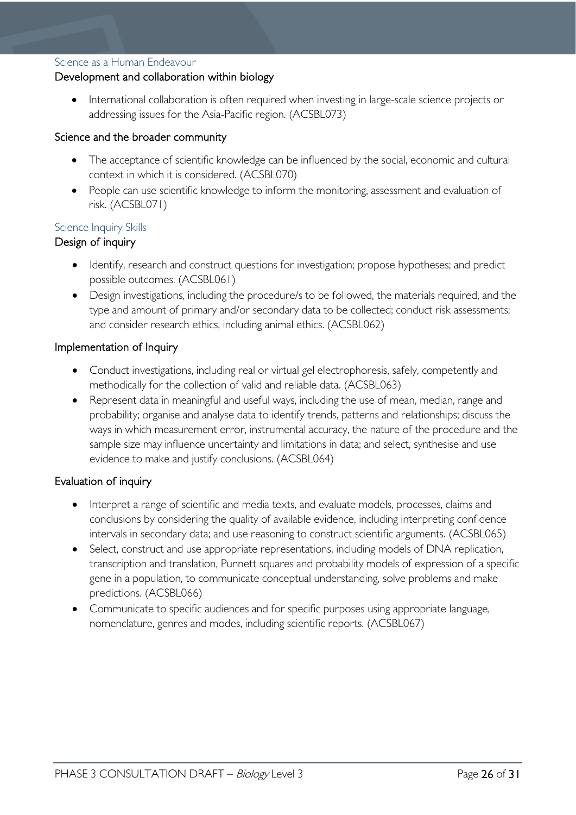#### <span id="page-25-0"></span>Science as a Human Endeavour

### Development and collaboration within biology

International collaboration is often required when investing in large-scale science projects or addressing issues for the Asia-Pacific region. (ACSBL073)

#### Science and the broader community

- The acceptance of scientific knowledge can be influenced by the social, economic and cultural context in which it is considered. (ACSBL070)
- People can use scientific knowledge to inform the monitoring, assessment and evaluation of risk. (ACSBL071)

#### <span id="page-25-1"></span>Science Inquiry Skills

### Design of inquiry

- Identify, research and construct questions for investigation; propose hypotheses; and predict possible outcomes. (ACSBL061)
- Design investigations, including the procedure/s to be followed, the materials required, and the type and amount of primary and/or secondary data to be collected; conduct risk assessments; and consider research ethics, including animal ethics. (ACSBL062)

#### Implementation of Inquiry

- Conduct investigations, including real or virtual gel electrophoresis, safely, competently and methodically for the collection of valid and reliable data. (ACSBL063)
- Represent data in meaningful and useful ways, including the use of mean, median, range and probability; organise and analyse data to identify trends, patterns and relationships; discuss the ways in which measurement error, instrumental accuracy, the nature of the procedure and the sample size may influence uncertainty and limitations in data; and select, synthesise and use evidence to make and justify conclusions. (ACSBL064)

### Evaluation of inquiry

- Interpret a range of scientific and media texts, and evaluate models, processes, claims and conclusions by considering the quality of available evidence, including interpreting confidence intervals in secondary data; and use reasoning to construct scientific arguments. (ACSBL065)
- Select, construct and use appropriate representations, including models of DNA replication, transcription and translation, Punnett squares and probability models of expression of a specific gene in a population, to communicate conceptual understanding, solve problems and make predictions. (ACSBL066)
- Communicate to specific audiences and for specific purposes using appropriate language, nomenclature, genres and modes, including scientific reports. (ACSBL067)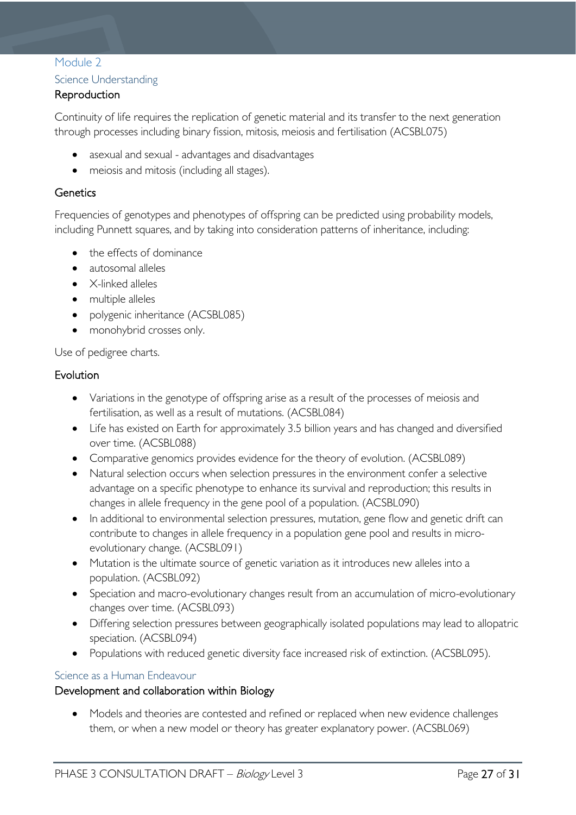# <span id="page-26-0"></span>Module 2

# <span id="page-26-1"></span>Science Understanding

# **Reproduction**

Continuity of life requires the replication of genetic material and its transfer to the next generation through processes including binary fission, mitosis, meiosis and fertilisation (ACSBL075)

- asexual and sexual advantages and disadvantages
- meiosis and mitosis (including all stages).

# **Genetics**

Frequencies of genotypes and phenotypes of offspring can be predicted using probability models, including Punnett squares, and by taking into consideration patterns of inheritance, including:

- the effects of dominance
- autosomal alleles
- X-linked alleles
- multiple alleles
- polygenic inheritance (ACSBL085)
- monohybrid crosses only.

Use of pedigree charts.

### Evolution

- Variations in the genotype of offspring arise as a result of the processes of meiosis and fertilisation, as well as a result of mutations. (ACSBL084)
- Life has existed on Earth for approximately 3.5 billion years and has changed and diversified over time. (ACSBL088)
- Comparative genomics provides evidence for the theory of evolution. (ACSBL089)
- Natural selection occurs when selection pressures in the environment confer a selective advantage on a specific phenotype to enhance its survival and reproduction; this results in changes in allele frequency in the gene pool of a population. (ACSBL090)
- In additional to environmental selection pressures, mutation, gene flow and genetic drift can contribute to changes in allele frequency in a population gene pool and results in microevolutionary change. (ACSBL091)
- Mutation is the ultimate source of genetic variation as it introduces new alleles into a population. (ACSBL092)
- Speciation and macro-evolutionary changes result from an accumulation of micro-evolutionary changes over time. (ACSBL093)
- Differing selection pressures between geographically isolated populations may lead to allopatric speciation. (ACSBL094)
- Populations with reduced genetic diversity face increased risk of extinction. (ACSBL095).

### <span id="page-26-2"></span>Science as a Human Endeavour

### Development and collaboration within Biology

• Models and theories are contested and refined or replaced when new evidence challenges them, or when a new model or theory has greater explanatory power. (ACSBL069)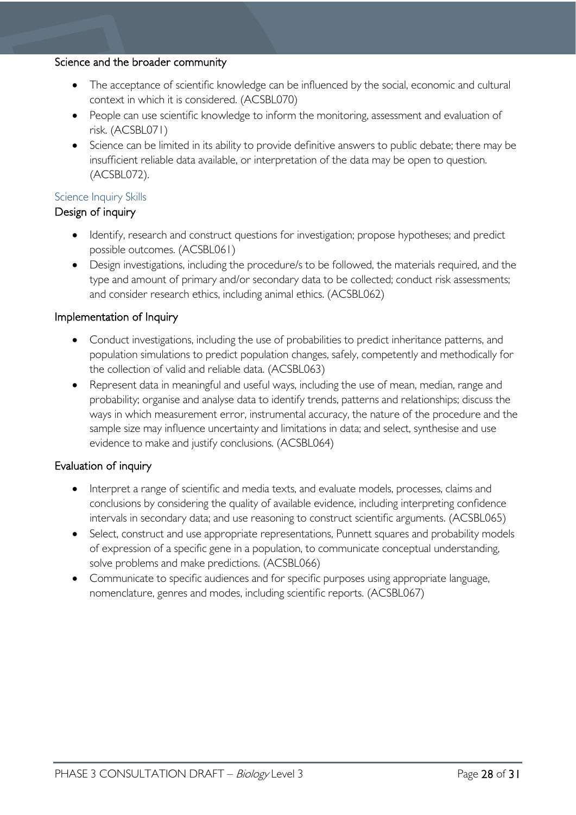#### Science and the broader community

- The acceptance of scientific knowledge can be influenced by the social, economic and cultural context in which it is considered. (ACSBL070)
- People can use scientific knowledge to inform the monitoring, assessment and evaluation of risk. (ACSBL071)
- Science can be limited in its ability to provide definitive answers to public debate; there may be insufficient reliable data available, or interpretation of the data may be open to question. (ACSBL072).

# <span id="page-27-0"></span>Science Inquiry Skills

# Design of inquiry

- Identify, research and construct questions for investigation; propose hypotheses; and predict possible outcomes. (ACSBL061)
- Design investigations, including the procedure/s to be followed, the materials required, and the type and amount of primary and/or secondary data to be collected; conduct risk assessments; and consider research ethics, including animal ethics. (ACSBL062)

# Implementation of Inquiry

- Conduct investigations, including the use of probabilities to predict inheritance patterns, and population simulations to predict population changes, safely, competently and methodically for the collection of valid and reliable data. (ACSBL063)
- Represent data in meaningful and useful ways, including the use of mean, median, range and probability; organise and analyse data to identify trends, patterns and relationships; discuss the ways in which measurement error, instrumental accuracy, the nature of the procedure and the sample size may influence uncertainty and limitations in data; and select, synthesise and use evidence to make and justify conclusions. (ACSBL064)

# Evaluation of inquiry

- Interpret a range of scientific and media texts, and evaluate models, processes, claims and conclusions by considering the quality of available evidence, including interpreting confidence intervals in secondary data; and use reasoning to construct scientific arguments. (ACSBL065)
- Select, construct and use appropriate representations, Punnett squares and probability models of expression of a specific gene in a population, to communicate conceptual understanding, solve problems and make predictions. (ACSBL066)
- Communicate to specific audiences and for specific purposes using appropriate language, nomenclature, genres and modes, including scientific reports. (ACSBL067)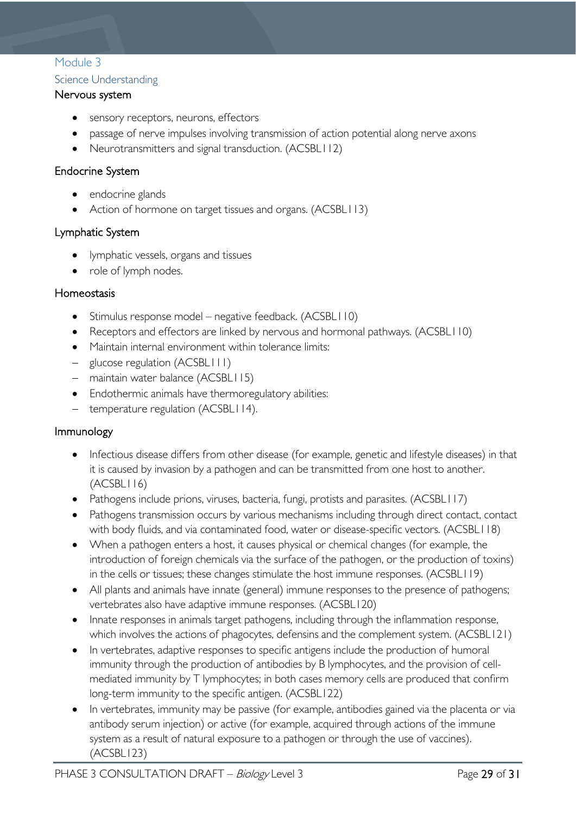# <span id="page-28-0"></span>Module 3

# <span id="page-28-1"></span>Science Understanding

### Nervous system

- sensory receptors, neurons, effectors
- passage of nerve impulses involving transmission of action potential along nerve axons
- Neurotransmitters and signal transduction. (ACSBL112)

### Endocrine System

- endocrine glands
- Action of hormone on target tissues and organs. (ACSBL113)

# Lymphatic System

- lymphatic vessels, organs and tissues
- role of lymph nodes.

### Homeostasis

- Stimulus response model negative feedback. (ACSBL110)
- Receptors and effectors are linked by nervous and hormonal pathways. (ACSBL110)
- Maintain internal environment within tolerance limits:
- − glucose regulation (ACSBL111)
- − maintain water balance (ACSBL115)
- Endothermic animals have thermoregulatory abilities:
- − temperature regulation (ACSBL114).

### Immunology

- Infectious disease differs from other disease (for example, genetic and lifestyle diseases) in that it is caused by invasion by a pathogen and can be transmitted from one host to another.  $(ACSBL116)$
- Pathogens include prions, viruses, bacteria, fungi, protists and parasites. (ACSBL117)
- Pathogens transmission occurs by various mechanisms including through direct contact, contact with body fluids, and via contaminated food, water or disease-specific vectors. (ACSBL118)
- When a pathogen enters a host, it causes physical or chemical changes (for example, the introduction of foreign chemicals via the surface of the pathogen, or the production of toxins) in the cells or tissues; these changes stimulate the host immune responses. (ACSBL119)
- All plants and animals have innate (general) immune responses to the presence of pathogens; vertebrates also have adaptive immune responses. (ACSBL120)
- Innate responses in animals target pathogens, including through the inflammation response, which involves the actions of phagocytes, defensins and the complement system. (ACSBL121)
- In vertebrates, adaptive responses to specific antigens include the production of humoral immunity through the production of antibodies by B lymphocytes, and the provision of cellmediated immunity by T lymphocytes; in both cases memory cells are produced that confirm long-term immunity to the specific antigen. (ACSBL122)
- In vertebrates, immunity may be passive (for example, antibodies gained via the placenta or via antibody serum injection) or active (for example, acquired through actions of the immune system as a result of natural exposure to a pathogen or through the use of vaccines). (ACSBL123)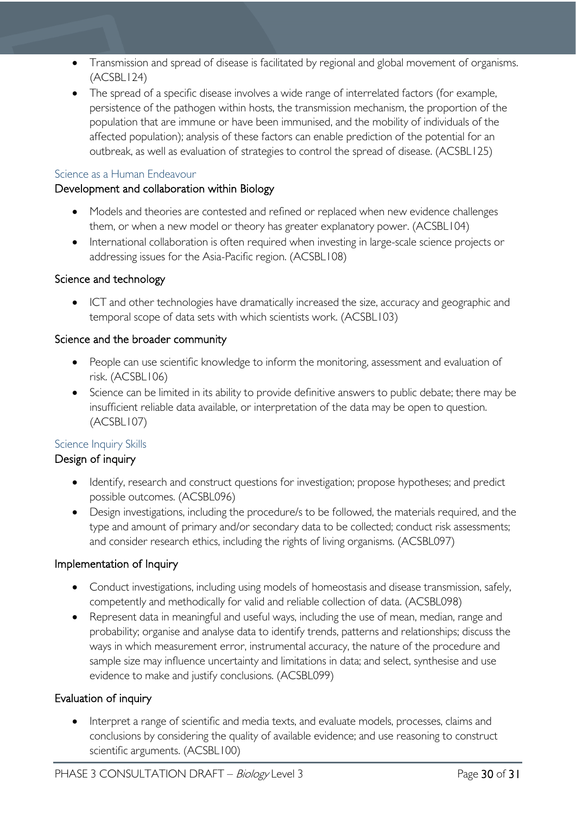- Transmission and spread of disease is facilitated by regional and global movement of organisms. (ACSBL124)
- The spread of a specific disease involves a wide range of interrelated factors (for example, persistence of the pathogen within hosts, the transmission mechanism, the proportion of the population that are immune or have been immunised, and the mobility of individuals of the affected population); analysis of these factors can enable prediction of the potential for an outbreak, as well as evaluation of strategies to control the spread of disease. (ACSBL125)

### <span id="page-29-0"></span>Science as a Human Endeavour

# Development and collaboration within Biology

- Models and theories are contested and refined or replaced when new evidence challenges them, or when a new model or theory has greater explanatory power. (ACSBL104)
- International collaboration is often required when investing in large-scale science projects or addressing issues for the Asia-Pacific region. (ACSBL108)

# Science and technology

• ICT and other technologies have dramatically increased the size, accuracy and geographic and temporal scope of data sets with which scientists work. (ACSBL103)

# Science and the broader community

- People can use scientific knowledge to inform the monitoring, assessment and evaluation of risk. (ACSBL106)
- Science can be limited in its ability to provide definitive answers to public debate; there may be insufficient reliable data available, or interpretation of the data may be open to question. (ACSBL107)

### <span id="page-29-1"></span>Science Inquiry Skills

# Design of inquiry

- Identify, research and construct questions for investigation; propose hypotheses; and predict possible outcomes. (ACSBL096)
- Design investigations, including the procedure/s to be followed, the materials required, and the type and amount of primary and/or secondary data to be collected; conduct risk assessments; and consider research ethics, including the rights of living organisms. (ACSBL097)

# Implementation of Inquiry

- Conduct investigations, including using models of homeostasis and disease transmission, safely, competently and methodically for valid and reliable collection of data. (ACSBL098)
- Represent data in meaningful and useful ways, including the use of mean, median, range and probability; organise and analyse data to identify trends, patterns and relationships; discuss the ways in which measurement error, instrumental accuracy, the nature of the procedure and sample size may influence uncertainty and limitations in data; and select, synthesise and use evidence to make and justify conclusions. (ACSBL099)

# Evaluation of inquiry

• Interpret a range of scientific and media texts, and evaluate models, processes, claims and conclusions by considering the quality of available evidence; and use reasoning to construct scientific arguments. (ACSBL100)